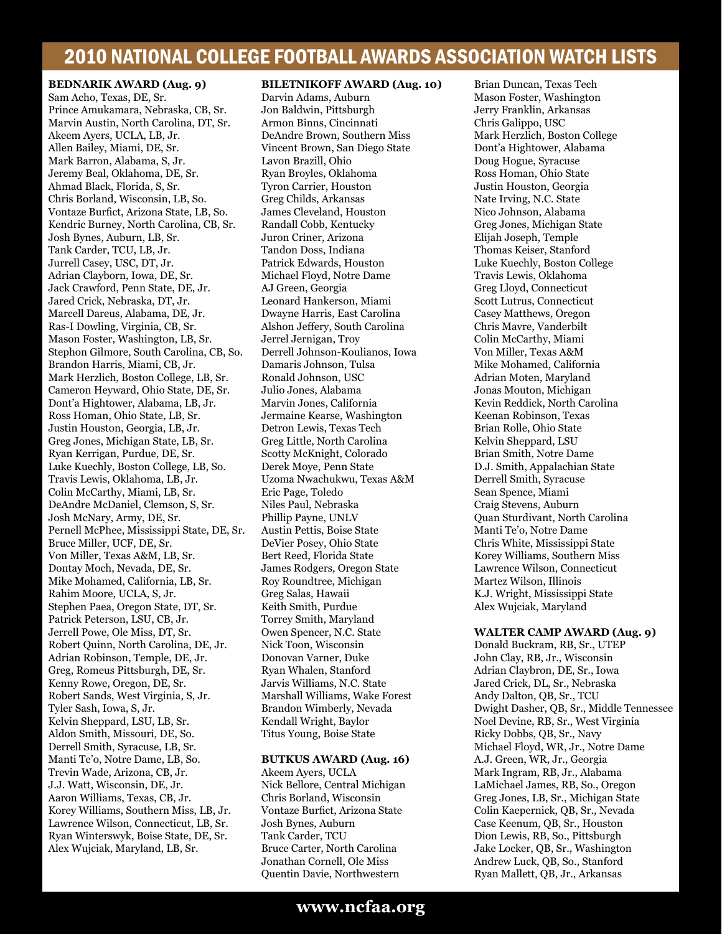**BEDNARIK AWARD (Aug. 9)** Sam Acho, Texas, DE, Sr. Prince Amukamara, Nebraska, CB, Sr. Marvin Austin, North Carolina, DT, Sr. Akeem Ayers, UCLA, LB, Jr. Allen Bailey, Miami, DE, Sr. Mark Barron, Alabama, S, Jr. Jeremy Beal, Oklahoma, DE, Sr. Ahmad Black, Florida, S, Sr. Chris Borland, Wisconsin, LB, So. Vontaze Burfict, Arizona State, LB, So. Kendric Burney, North Carolina, CB, Sr. Josh Bynes, Auburn, LB, Sr. Tank Carder, TCU, LB, Jr. Jurrell Casey, USC, DT, Jr. Adrian Clayborn, Iowa, DE, Sr. Jack Crawford, Penn State, DE, Jr. Jared Crick, Nebraska, DT, Jr. Marcell Dareus, Alabama, DE, Jr. Ras-I Dowling, Virginia, CB, Sr. Mason Foster, Washington, LB, Sr. Stephon Gilmore, South Carolina, CB, So. Brandon Harris, Miami, CB, Jr. Mark Herzlich, Boston College, LB, Sr. Cameron Heyward, Ohio State, DE, Sr. Dont'a Hightower, Alabama, LB, Jr. Ross Homan, Ohio State, LB, Sr. Justin Houston, Georgia, LB, Jr. Greg Jones, Michigan State, LB, Sr. Ryan Kerrigan, Purdue, DE, Sr. Luke Kuechly, Boston College, LB, So. Travis Lewis, Oklahoma, LB, Jr. Colin McCarthy, Miami, LB, Sr. DeAndre McDaniel, Clemson, S, Sr. Josh McNary, Army, DE, Sr. Pernell McPhee, Mississippi State, DE, Sr. Bruce Miller, UCF, DE, Sr. Von Miller, Texas A&M, LB, Sr. Dontay Moch, Nevada, DE, Sr. Mike Mohamed, California, LB, Sr. Rahim Moore, UCLA, S, Jr. Stephen Paea, Oregon State, DT, Sr. Patrick Peterson, LSU, CB, Jr. Jerrell Powe, Ole Miss, DT, Sr. Robert Quinn, North Carolina, DE, Jr. Adrian Robinson, Temple, DE, Jr. Greg, Romeus Pittsburgh, DE, Sr. Kenny Rowe, Oregon, DE, Sr. Robert Sands, West Virginia, S, Jr. Tyler Sash, Iowa, S, Jr. Kelvin Sheppard, LSU, LB, Sr. Aldon Smith, Missouri, DE, So. Derrell Smith, Syracuse, LB, Sr. Manti Te'o, Notre Dame, LB, So. Trevin Wade, Arizona, CB, Jr. J.J. Watt, Wisconsin, DE, Jr. Aaron Williams, Texas, CB, Jr. Korey Williams, Southern Miss, LB, Jr. Lawrence Wilson, Connecticut, LB, Sr. Ryan Winterswyk, Boise State, DE, Sr. Alex Wujciak, Maryland, LB, Sr.

### **BILETNIKOFF AWARD (Aug. 10)**

Darvin Adams, Auburn Jon Baldwin, Pittsburgh Armon Binns, Cincinnati DeAndre Brown, Southern Miss Vincent Brown, San Diego State Lavon Brazill, Ohio Ryan Broyles, Oklahoma Tyron Carrier, Houston Greg Childs, Arkansas James Cleveland, Houston Randall Cobb, Kentucky Juron Criner, Arizona Tandon Doss, Indiana Patrick Edwards, Houston Michael Floyd, Notre Dame AJ Green, Georgia Leonard Hankerson, Miami Dwayne Harris, East Carolina Alshon Jeffery, South Carolina Jerrel Jernigan, Troy Derrell Johnson-Koulianos, Iowa Damaris Johnson, Tulsa Ronald Johnson, USC Julio Jones, Alabama Marvin Jones, California Jermaine Kearse, Washington Detron Lewis, Texas Tech Greg Little, North Carolina Scotty McKnight, Colorado Derek Moye, Penn State Uzoma Nwachukwu, Texas A&M Eric Page, Toledo Niles Paul, Nebraska Phillip Payne, UNLV Austin Pettis, Boise State DeVier Posey, Ohio State Bert Reed, Florida State James Rodgers, Oregon State Roy Roundtree, Michigan Greg Salas, Hawaii Keith Smith, Purdue Torrey Smith, Maryland Owen Spencer, N.C. State Nick Toon, Wisconsin Donovan Varner, Duke Ryan Whalen, Stanford Jarvis Williams, N.C. State Marshall Williams, Wake Forest Brandon Wimberly, Nevada Kendall Wright, Baylor Titus Young, Boise State

### **BUTKUS AWARD (Aug. 16)**

Akeem Ayers, UCLA Nick Bellore, Central Michigan Chris Borland, Wisconsin Vontaze Burfict, Arizona State Josh Bynes, Auburn Tank Carder, TCU Bruce Carter, North Carolina Jonathan Cornell, Ole Miss Quentin Davie, Northwestern

Brian Duncan, Texas Tech Mason Foster, Washington Jerry Franklin, Arkansas Chris Galippo, USC Mark Herzlich, Boston College Dont'a Hightower, Alabama Doug Hogue, Syracuse Ross Homan, Ohio State Justin Houston, Georgia Nate Irving, N.C. State Nico Johnson, Alabama Greg Jones, Michigan State Elijah Joseph, Temple Thomas Keiser, Stanford Luke Kuechly, Boston College Travis Lewis, Oklahoma Greg Lloyd, Connecticut Scott Lutrus, Connecticut Casey Matthews, Oregon Chris Mavre, Vanderbilt Colin McCarthy, Miami Von Miller, Texas A&M Mike Mohamed, California Adrian Moten, Maryland Jonas Mouton, Michigan Kevin Reddick, North Carolina Keenan Robinson, Texas Brian Rolle, Ohio State Kelvin Sheppard, LSU Brian Smith, Notre Dame D.J. Smith, Appalachian State Derrell Smith, Syracuse Sean Spence, Miami Craig Stevens, Auburn Quan Sturdivant, North Carolina Manti Te'o, Notre Dame Chris White, Mississippi State Korey Williams, Southern Miss Lawrence Wilson, Connecticut Martez Wilson, Illinois K.J. Wright, Mississippi State Alex Wujciak, Maryland

### **WALTER CAMP AWARD (Aug. 9)**

Donald Buckram, RB, Sr., UTEP John Clay, RB, Jr., Wisconsin Adrian Claybron, DE, Sr., Iowa Jared Crick, DL, Sr., Nebraska Andy Dalton, QB, Sr., TCU Dwight Dasher, QB, Sr., Middle Tennessee Noel Devine, RB, Sr., West Virginia Ricky Dobbs, QB, Sr., Navy Michael Floyd, WR, Jr., Notre Dame A.J. Green, WR, Jr., Georgia Mark Ingram, RB, Jr., Alabama LaMichael James, RB, So., Oregon Greg Jones, LB, Sr., Michigan State Colin Kaepernick, QB, Sr., Nevada Case Keenum, QB, Sr., Houston Dion Lewis, RB, So., Pittsburgh Jake Locker, QB, Sr., Washington Andrew Luck, QB, So., Stanford Ryan Mallett, QB, Jr., Arkansas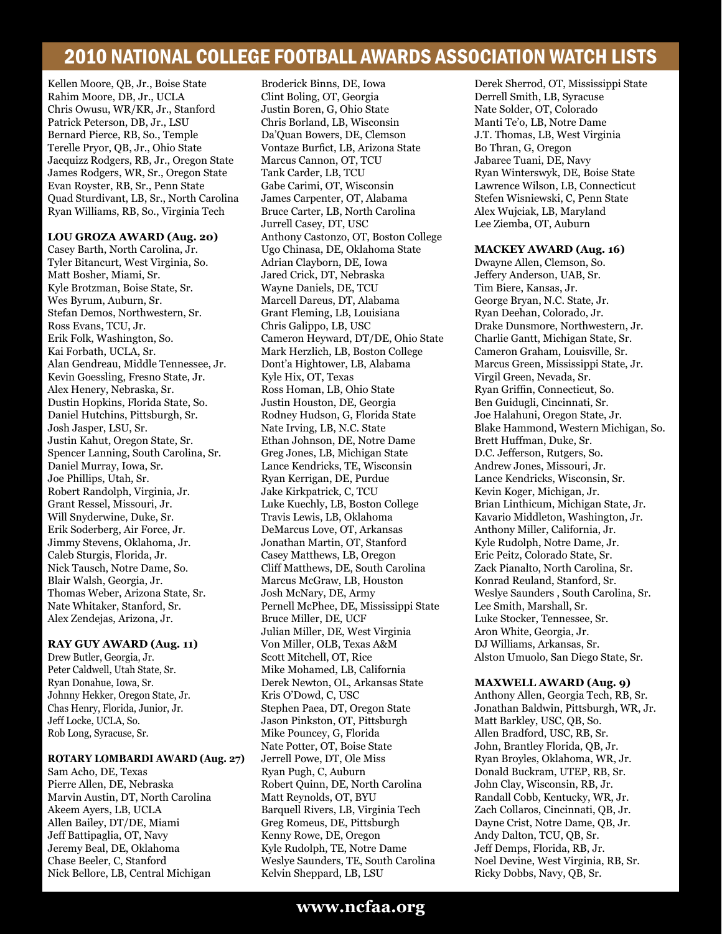Kellen Moore, QB, Jr., Boise State Rahim Moore, DB, Jr., UCLA Chris Owusu, WR/KR, Jr., Stanford Patrick Peterson, DB, Jr., LSU Bernard Pierce, RB, So., Temple Terelle Pryor, QB, Jr., Ohio State Jacquizz Rodgers, RB, Jr., Oregon State James Rodgers, WR, Sr., Oregon State Evan Royster, RB, Sr., Penn State Quad Sturdivant, LB, Sr., North Carolina Ryan Williams, RB, So., Virginia Tech

### **LOU GROZA AWARD (Aug. 20)**

Casey Barth, North Carolina, Jr. Tyler Bitancurt, West Virginia, So. Matt Bosher, Miami, Sr. Kyle Brotzman, Boise State, Sr. Wes Byrum, Auburn, Sr. Stefan Demos, Northwestern, Sr. Ross Evans, TCU, Jr. Erik Folk, Washington, So. Kai Forbath, UCLA, Sr. Alan Gendreau, Middle Tennessee, Jr. Kevin Goessling, Fresno State, Jr. Alex Henery, Nebraska, Sr. Dustin Hopkins, Florida State, So. Daniel Hutchins, Pittsburgh, Sr. Josh Jasper, LSU, Sr. Justin Kahut, Oregon State, Sr. Spencer Lanning, South Carolina, Sr. Daniel Murray, Iowa, Sr. Joe Phillips, Utah, Sr. Robert Randolph, Virginia, Jr. Grant Ressel, Missouri, Jr. Will Snyderwine, Duke, Sr. Erik Soderberg, Air Force, Jr. Jimmy Stevens, Oklahoma, Jr. Caleb Sturgis, Florida, Jr. Nick Tausch, Notre Dame, So. Blair Walsh, Georgia, Jr. Thomas Weber, Arizona State, Sr. Nate Whitaker, Stanford, Sr. Alex Zendejas, Arizona, Jr.

### **RAY GUY AWARD (Aug. 11)**

Drew Butler, Georgia, Jr. Peter Caldwell, Utah State, Sr. Ryan Donahue, Iowa, Sr. Johnny Hekker, Oregon State, Jr. Chas Henry, Florida, Junior, Jr. Jeff Locke, UCLA, So. Rob Long, Syracuse, Sr.

### **ROTARY LOMBARDI AWARD (Aug. 27)**

Sam Acho, DE, Texas Pierre Allen, DE, Nebraska Marvin Austin, DT, North Carolina Akeem Ayers, LB, UCLA Allen Bailey, DT/DE, Miami Jeff Battipaglia, OT, Navy Jeremy Beal, DE, Oklahoma Chase Beeler, C, Stanford Nick Bellore, LB, Central Michigan

Broderick Binns, DE, Iowa Clint Boling, OT, Georgia Justin Boren, G, Ohio State Chris Borland, LB, Wisconsin Da'Quan Bowers, DE, Clemson Vontaze Burfict, LB, Arizona State Marcus Cannon, OT, TCU Tank Carder, LB, TCU Gabe Carimi, OT, Wisconsin James Carpenter, OT, Alabama Bruce Carter, LB, North Carolina Jurrell Casey, DT, USC Anthony Castonzo, OT, Boston College Ugo Chinasa, DE, Oklahoma State Adrian Clayborn, DE, Iowa Jared Crick, DT, Nebraska Wayne Daniels, DE, TCU Marcell Dareus, DT, Alabama Grant Fleming, LB, Louisiana Chris Galippo, LB, USC Cameron Heyward, DT/DE, Ohio State Mark Herzlich, LB, Boston College Dont'a Hightower, LB, Alabama Kyle Hix, OT, Texas Ross Homan, LB, Ohio State Justin Houston, DE, Georgia Rodney Hudson, G, Florida State Nate Irving, LB, N.C. State Ethan Johnson, DE, Notre Dame Greg Jones, LB, Michigan State Lance Kendricks, TE, Wisconsin Ryan Kerrigan, DE, Purdue Jake Kirkpatrick, C, TCU Luke Kuechly, LB, Boston College Travis Lewis, LB, Oklahoma DeMarcus Love, OT, Arkansas Jonathan Martin, OT, Stanford Casey Matthews, LB, Oregon Cliff Matthews, DE, South Carolina Marcus McGraw, LB, Houston Josh McNary, DE, Army Pernell McPhee, DE, Mississippi State Bruce Miller, DE, UCF Julian Miller, DE, West Virginia Von Miller, OLB, Texas A&M Scott Mitchell, OT, Rice Mike Mohamed, LB, California Derek Newton, OL, Arkansas State Kris O'Dowd, C, USC Stephen Paea, DT, Oregon State Jason Pinkston, OT, Pittsburgh Mike Pouncey, G, Florida Nate Potter, OT, Boise State Jerrell Powe, DT, Ole Miss Ryan Pugh, C, Auburn Robert Quinn, DE, North Carolina Matt Reynolds, OT, BYU Barquell Rivers, LB, Virginia Tech Greg Romeus, DE, Pittsburgh Kenny Rowe, DE, Oregon Kyle Rudolph, TE, Notre Dame Weslye Saunders, TE, South Carolina Kelvin Sheppard, LB, LSU

Derek Sherrod, OT, Mississippi State Derrell Smith, LB, Syracuse Nate Solder, OT, Colorado Manti Te'o, LB, Notre Dame J.T. Thomas, LB, West Virginia Bo Thran, G, Oregon Jabaree Tuani, DE, Navy Ryan Winterswyk, DE, Boise State Lawrence Wilson, LB, Connecticut Stefen Wisniewski, C, Penn State Alex Wujciak, LB, Maryland Lee Ziemba, OT, Auburn

### **MACKEY AWARD (Aug. 16)**

Dwayne Allen, Clemson, So. Jeffery Anderson, UAB, Sr. Tim Biere, Kansas, Jr. George Bryan, N.C. State, Jr. Ryan Deehan, Colorado, Jr. Drake Dunsmore, Northwestern, Jr. Charlie Gantt, Michigan State, Sr. Cameron Graham, Louisville, Sr. Marcus Green, Mississippi State, Jr. Virgil Green, Nevada, Sr. Ryan Griffin, Connecticut, So. Ben Guidugli, Cincinnati, Sr. Joe Halahuni, Oregon State, Jr. Blake Hammond, Western Michigan, So. Brett Huffman, Duke, Sr. D.C. Jefferson, Rutgers, So. Andrew Jones, Missouri, Jr. Lance Kendricks, Wisconsin, Sr. Kevin Koger, Michigan, Jr. Brian Linthicum, Michigan State, Jr. Kavario Middleton, Washington, Jr. Anthony Miller, California, Jr. Kyle Rudolph, Notre Dame, Jr. Eric Peitz, Colorado State, Sr. Zack Pianalto, North Carolina, Sr. Konrad Reuland, Stanford, Sr. Weslye Saunders , South Carolina, Sr. Lee Smith, Marshall, Sr. Luke Stocker, Tennessee, Sr. Aron White, Georgia, Jr. DJ Williams, Arkansas, Sr. Alston Umuolo, San Diego State, Sr.

### **MAXWELL AWARD (Aug. 9)**

Anthony Allen, Georgia Tech, RB, Sr. Jonathan Baldwin, Pittsburgh, WR, Jr. Matt Barkley, USC, QB, So. Allen Bradford, USC, RB, Sr. John, Brantley Florida, QB, Jr. Ryan Broyles, Oklahoma, WR, Jr. Donald Buckram, UTEP, RB, Sr. John Clay, Wisconsin, RB, Jr. Randall Cobb, Kentucky, WR, Jr. Zach Collaros, Cincinnati, QB, Jr. Dayne Crist, Notre Dame, QB, Jr. Andy Dalton, TCU, QB, Sr. Jeff Demps, Florida, RB, Jr. Noel Devine, West Virginia, RB, Sr. Ricky Dobbs, Navy, QB, Sr.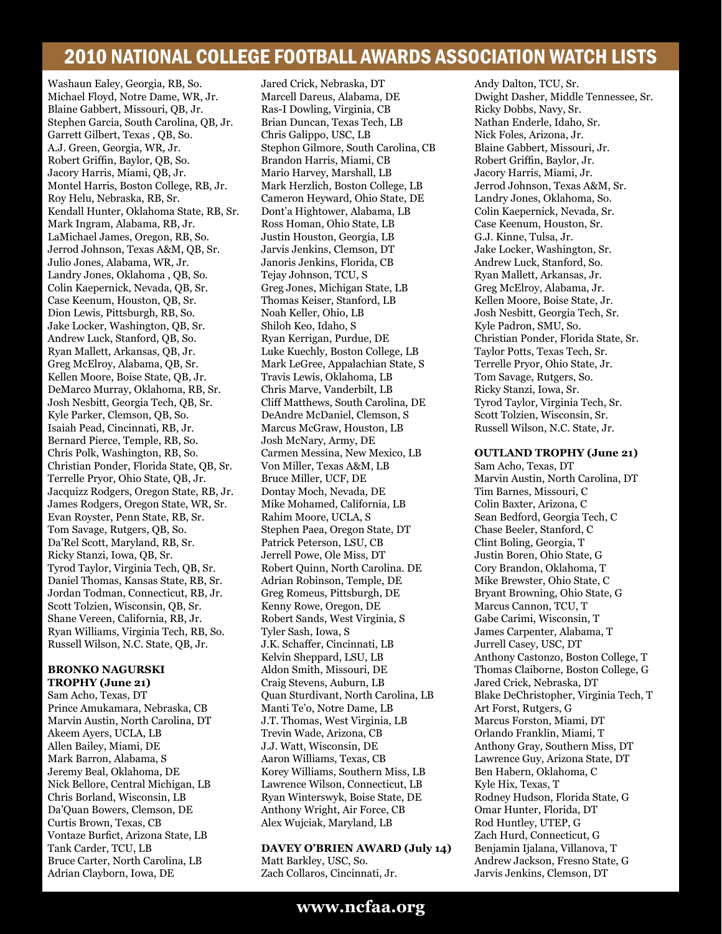Washaun Ealey, Georgia, RB, So. Michael Floyd, Notre Dame, WR, Jr. Blaine Gabbert, Missouri, QB, Jr. Stephen Garcia, South Carolina, QB, Jr. Garrett Gilbert, Texas , QB, So. A.J. Green, Georgia, WR, Jr. Robert Griffin, Baylor, QB, So. Jacory Harris, Miami, QB, Jr. Montel Harris, Boston College, RB, Jr. Roy Helu, Nebraska, RB, Sr. Kendall Hunter, Oklahoma State, RB, Sr. Mark Ingram, Alabama, RB, Jr. LaMichael James, Oregon, RB, So. Jerrod Johnson, Texas A&M, QB, Sr. Julio Jones, Alabama, WR, Jr. Landry Jones, Oklahoma , QB, So. Colin Kaepernick, Nevada, QB, Sr. Case Keenum, Houston, QB, Sr. Dion Lewis, Pittsburgh, RB, So. Jake Locker, Washington, QB, Sr. Andrew Luck, Stanford, QB, So. Ryan Mallett, Arkansas, QB, Jr. Greg McElroy, Alabama, QB, Sr. Kellen Moore, Boise State, QB, Jr. DeMarco Murray, Oklahoma, RB, Sr. Josh Nesbitt, Georgia Tech, QB, Sr. Kyle Parker, Clemson, QB, So. Isaiah Pead, Cincinnati, RB, Jr. Bernard Pierce, Temple, RB, So. Chris Polk, Washington, RB, So. Christian Ponder, Florida State, QB, Sr. Terrelle Pryor, Ohio State, QB, Jr. Jacquizz Rodgers, Oregon State, RB, Jr. James Rodgers, Oregon State, WR, Sr. Evan Royster, Penn State, RB, Sr. Tom Savage, Rutgers, QB, So. Da'Rel Scott, Maryland, RB, Sr. Ricky Stanzi, Iowa, QB, Sr. Tyrod Taylor, Virginia Tech, QB, Sr. Daniel Thomas, Kansas State, RB, Sr. Jordan Todman, Connecticut, RB, Jr. Scott Tolzien, Wisconsin, QB, Sr. Shane Vereen, California, RB, Jr. Ryan Williams, Virginia Tech, RB, So. Russell Wilson, N.C. State, QB, Jr.

### **BRONKO NAGURSKI**

**TROPHY (June 21)** Sam Acho, Texas, DT Prince Amukamara, Nebraska, CB Marvin Austin, North Carolina, DT Akeem Ayers, UCLA, LB Allen Bailey, Miami, DE Mark Barron, Alabama, S Jeremy Beal, Oklahoma, DE Nick Bellore, Central Michigan, LB Chris Borland, Wisconsin, LB Da'Quan Bowers, Clemson, DE Curtis Brown, Texas, CB Vontaze Burfict, Arizona State, LB Tank Carder, TCU, LB Bruce Carter, North Carolina, LB Adrian Clayborn, Iowa, DE

Jared Crick, Nebraska, DT Marcell Dareus, Alabama, DE Ras-I Dowling, Virginia, CB Brian Duncan, Texas Tech, LB Chris Galippo, USC, LB Stephon Gilmore, South Carolina, CB Brandon Harris, Miami, CB Mario Harvey, Marshall, LB Mark Herzlich, Boston College, LB Cameron Heyward, Ohio State, DE Dont'a Hightower, Alabama, LB Ross Homan, Ohio State, LB Justin Houston, Georgia, LB Jarvis Jenkins, Clemson, DT Janoris Jenkins, Florida, CB Tejay Johnson, TCU, S Greg Jones, Michigan State, LB Thomas Keiser, Stanford, LB Noah Keller, Ohio, LB Shiloh Keo, Idaho, S Ryan Kerrigan, Purdue, DE Luke Kuechly, Boston College, LB Mark LeGree, Appalachian State, S Travis Lewis, Oklahoma, LB Chris Marve, Vanderbilt, LB Cliff Matthews, South Carolina, DE DeAndre McDaniel, Clemson, S Marcus McGraw, Houston, LB Josh McNary, Army, DE Carmen Messina, New Mexico, LB Von Miller, Texas A&M, LB Bruce Miller, UCF, DE Dontay Moch, Nevada, DE Mike Mohamed, California, LB Rahim Moore, UCLA, S Stephen Paea, Oregon State, DT Patrick Peterson, LSU, CB Jerrell Powe, Ole Miss, DT Robert Quinn, North Carolina. DE Adrian Robinson, Temple, DE Greg Romeus, Pittsburgh, DE Kenny Rowe, Oregon, DE Robert Sands, West Virginia, S Tyler Sash, Iowa, S J.K. Schaffer, Cincinnati, LB Kelvin Sheppard, LSU, LB Aldon Smith, Missouri, DE Craig Stevens, Auburn, LB Quan Sturdivant, North Carolina, LB Manti Te'o, Notre Dame, LB J.T. Thomas, West Virginia, LB Trevin Wade, Arizona, CB J.J. Watt, Wisconsin, DE Aaron Williams, Texas, CB Korey Williams, Southern Miss, LB Lawrence Wilson, Connecticut, LB Ryan Winterswyk, Boise State, DE Anthony Wright, Air Force, CB Alex Wujciak, Maryland, LB

### **DAVEY O'BRIEN AWARD (July 14)**

Matt Barkley, USC, So. Zach Collaros, Cincinnati, Jr. Andy Dalton, TCU, Sr. Dwight Dasher, Middle Tennessee, Sr. Ricky Dobbs, Navy, Sr. Nathan Enderle, Idaho, Sr. Nick Foles, Arizona, Jr. Blaine Gabbert, Missouri, Jr. Robert Griffin, Baylor, Jr. Jacory Harris, Miami, Jr. Jerrod Johnson, Texas A&M, Sr. Landry Jones, Oklahoma, So. Colin Kaepernick, Nevada, Sr. Case Keenum, Houston, Sr. G.J. Kinne, Tulsa, Jr. Jake Locker, Washington, Sr. Andrew Luck, Stanford, So. Ryan Mallett, Arkansas, Jr. Greg McElroy, Alabama, Jr. Kellen Moore, Boise State, Jr. Josh Nesbitt, Georgia Tech, Sr. Kyle Padron, SMU, So. Christian Ponder, Florida State, Sr. Taylor Potts, Texas Tech, Sr. Terrelle Pryor, Ohio State, Jr. Tom Savage, Rutgers, So. Ricky Stanzi, Iowa, Sr. Tyrod Taylor, Virginia Tech, Sr. Scott Tolzien, Wisconsin, Sr. Russell Wilson, N.C. State, Jr.

#### **OUTLAND TROPHY (June 21)**

Sam Acho, Texas, DT Marvin Austin, North Carolina, DT Tim Barnes, Missouri, C Colin Baxter, Arizona, C Sean Bedford, Georgia Tech, C Chase Beeler, Stanford, C Clint Boling, Georgia, T Justin Boren, Ohio State, G Cory Brandon, Oklahoma, T Mike Brewster, Ohio State, C Bryant Browning, Ohio State, G Marcus Cannon, TCU, T Gabe Carimi, Wisconsin, T James Carpenter, Alabama, T Jurrell Casey, USC, DT Anthony Castonzo, Boston College, T Thomas Claiborne, Boston College, G Jared Crick, Nebraska, DT Blake DeChristopher, Virginia Tech, T Art Forst, Rutgers, G Marcus Forston, Miami, DT Orlando Franklin, Miami, T Anthony Gray, Southern Miss, DT Lawrence Guy, Arizona State, DT Ben Habern, Oklahoma, C Kyle Hix, Texas, T Rodney Hudson, Florida State, G Omar Hunter, Florida, DT Rod Huntley, UTEP, G Zach Hurd, Connecticut, G Benjamin Ijalana, Villanova, T Andrew Jackson, Fresno State, G Jarvis Jenkins, Clemson, DT